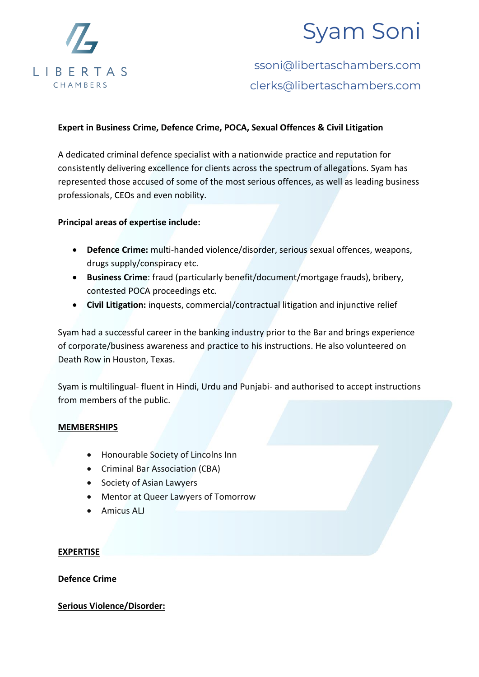

# Syam Soni

### ssoni@libertaschambers.com clerks@libertaschambers.com

#### **Expert in Business Crime, Defence Crime, POCA, Sexual Offences & Civil Litigation**

A dedicated criminal defence specialist with a nationwide practice and reputation for consistently delivering excellence for clients across the spectrum of allegations. Syam has represented those accused of some of the most serious offences, as well as leading business professionals, CEOs and even nobility.

**Principal areas of expertise include:**

- **Defence Crime:** multi-handed violence/disorder, serious sexual offences, weapons, drugs supply/conspiracy etc.
- **Business Crime**: fraud (particularly benefit/document/mortgage frauds), bribery, contested POCA proceedings etc.
- **Civil Litigation:** inquests, commercial/contractual litigation and injunctive relief

Syam had a successful career in the banking industry prior to the Bar and brings experience of corporate/business awareness and practice to his instructions. He also volunteered on Death Row in Houston, Texas.

Syam is multilingual- fluent in Hindi, Urdu and Punjabi- and authorised to accept instructions from members of the public.

#### **MEMBERSHIPS**

- Honourable Society of Lincolns Inn
- Criminal Bar Association (CBA)
- Society of Asian Lawyers
- Mentor at Queer Lawyers of Tomorrow
- Amicus ALJ

#### **EXPERTISE**

**Defence Crime**

#### **Serious Violence/Disorder:**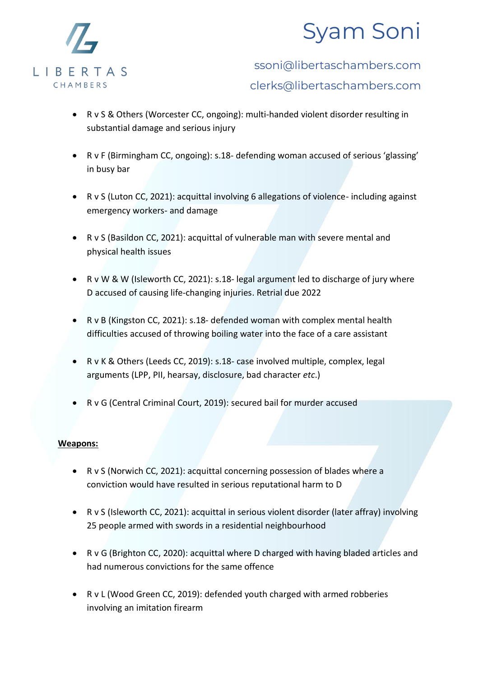



### ssoni@libertaschambers.com clerks@libertaschambers.com

- R v S & Others (Worcester CC, ongoing): multi-handed violent disorder resulting in substantial damage and serious injury
- R v F (Birmingham CC, ongoing): s.18- defending woman accused of serious 'glassing' in busy bar
- R v S (Luton CC, 2021): acquittal involving 6 allegations of violence- including against emergency workers- and damage
- R v S (Basildon CC, 2021): acquittal of vulnerable man with severe mental and physical health issues
- R v W & W (Isleworth CC, 2021): s.18- legal argument led to discharge of jury where D accused of causing life-changing injuries. Retrial due 2022
- R v B (Kingston CC, 2021): s.18- defended woman with complex mental health difficulties accused of throwing boiling water into the face of a care assistant
- R v K & Others (Leeds CC, 2019): s.18- case involved multiple, complex, legal arguments (LPP, PII, hearsay, disclosure, bad character *etc*.)
- R v G (Central Criminal Court, 2019): secured bail for murder accused

#### **Weapons:**

- R v S (Norwich CC, 2021): acquittal concerning possession of blades where a conviction would have resulted in serious reputational harm to D
- R v S (Isleworth CC, 2021): acquittal in serious violent disorder (later affray) involving 25 people armed with swords in a residential neighbourhood
- R v G (Brighton CC, 2020): acquittal where D charged with having bladed articles and had numerous convictions for the same offence
- R v L (Wood Green CC, 2019): defended youth charged with armed robberies involving an imitation firearm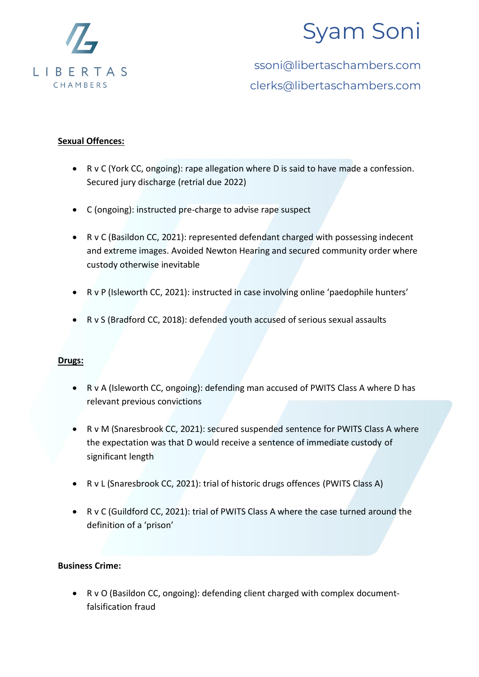

# Syam Soni

ssoni@libertaschambers.com clerks@libertaschambers.com

#### **Sexual Offences:**

- R v C (York CC, ongoing): rape allegation where D is said to have made a confession. Secured jury discharge (retrial due 2022)
- C (ongoing): instructed pre-charge to advise rape suspect
- R v C (Basildon CC, 2021): represented defendant charged with possessing indecent and extreme images. Avoided Newton Hearing and secured community order where custody otherwise inevitable
- R v P (Isleworth CC, 2021): instructed in case involving online 'paedophile hunters'
- R v S (Bradford CC, 2018): defended youth accused of serious sexual assaults

#### **Drugs:**

- R v A (Isleworth CC, ongoing): defending man accused of PWITS Class A where D has relevant previous convictions
- R v M (Snaresbrook CC, 2021): secured suspended sentence for PWITS Class A where the expectation was that D would receive a sentence of immediate custody of significant length
- R v L (Snaresbrook CC, 2021): trial of historic drugs offences (PWITS Class A)
- R v C (Guildford CC, 2021): trial of PWITS Class A where the case turned around the definition of a 'prison'

#### **Business Crime:**

• R v O (Basildon CC, ongoing): defending client charged with complex documentfalsification fraud